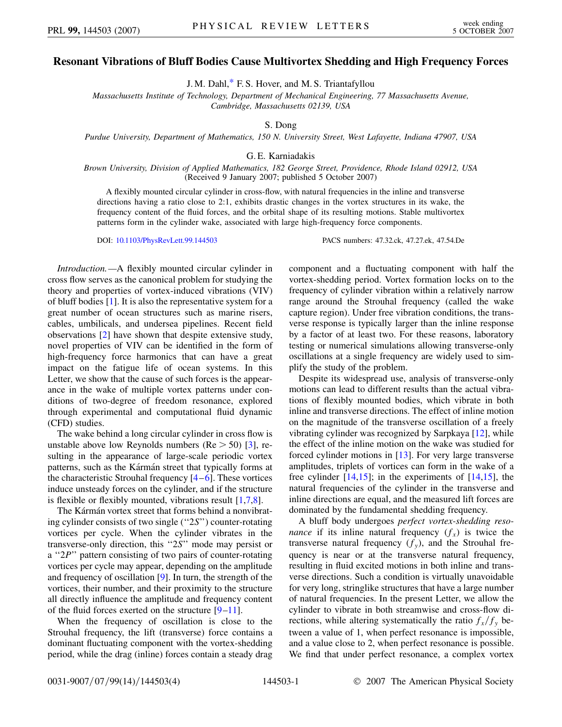## <span id="page-0-0"></span>**Resonant Vibrations of Bluff Bodies Cause Multivortex Shedding and High Frequency Forces**

J. M. Dahl,[\\*](#page-3-0) F. S. Hover, and M. S. Triantafyllou

*Massachusetts Institute of Technology, Department of Mechanical Engineering, 77 Massachusetts Avenue, Cambridge, Massachusetts 02139, USA*

S. Dong

*Purdue University, Department of Mathematics, 150 N. University Street, West Lafayette, Indiana 47907, USA*

G. E. Karniadakis

*Brown University, Division of Applied Mathematics, 182 George Street, Providence, Rhode Island 02912, USA* (Received 9 January 2007; published 5 October 2007)

A flexibly mounted circular cylinder in cross-flow, with natural frequencies in the inline and transverse directions having a ratio close to 2:1, exhibits drastic changes in the vortex structures in its wake, the frequency content of the fluid forces, and the orbital shape of its resulting motions. Stable multivortex patterns form in the cylinder wake, associated with large high-frequency force components.

DOI: [10.1103/PhysRevLett.99.144503](http://dx.doi.org/10.1103/PhysRevLett.99.144503) PACS numbers: 47.32.ck, 47.27.ek, 47.54.De

*Introduction.—*A flexibly mounted circular cylinder in cross flow serves as the canonical problem for studying the theory and properties of vortex-induced vibrations (VIV) of bluff bodies [[1](#page-3-1)]. It is also the representative system for a great number of ocean structures such as marine risers, cables, umbilicals, and undersea pipelines. Recent field observations [[2\]](#page-3-2) have shown that despite extensive study, novel properties of VIV can be identified in the form of high-frequency force harmonics that can have a great impact on the fatigue life of ocean systems. In this Letter, we show that the cause of such forces is the appearance in the wake of multiple vortex patterns under conditions of two-degree of freedom resonance, explored through experimental and computational fluid dynamic (CFD) studies.

The wake behind a long circular cylinder in cross flow is unstable above low Reynolds numbers (Re *>* 50) [\[3\]](#page-3-3), resulting in the appearance of large-scale periodic vortex patterns, such as the Kármán street that typically forms at the characteristic Strouhal frequency  $[4-6]$  $[4-6]$  $[4-6]$ . These vortices induce unsteady forces on the cylinder, and if the structure is flexible or flexibly mounted, vibrations result  $[1,7,8]$  $[1,7,8]$  $[1,7,8]$  $[1,7,8]$  $[1,7,8]$  $[1,7,8]$ .

The Kármán vortex street that forms behind a nonvibrating cylinder consists of two single (''2*S*'') counter-rotating vortices per cycle. When the cylinder vibrates in the transverse-only direction, this ''2*S*'' mode may persist or a "2*P*" pattern consisting of two pairs of counter-rotating vortices per cycle may appear, depending on the amplitude and frequency of oscillation [[9\]](#page-3-8). In turn, the strength of the vortices, their number, and their proximity to the structure all directly influence the amplitude and frequency content of the fluid forces exerted on the structure  $[9-11]$  $[9-11]$  $[9-11]$ .

When the frequency of oscillation is close to the Strouhal frequency, the lift (transverse) force contains a dominant fluctuating component with the vortex-shedding period, while the drag (inline) forces contain a steady drag component and a fluctuating component with half the vortex-shedding period. Vortex formation locks on to the frequency of cylinder vibration within a relatively narrow range around the Strouhal frequency (called the wake capture region). Under free vibration conditions, the transverse response is typically larger than the inline response by a factor of at least two. For these reasons, laboratory testing or numerical simulations allowing transverse-only oscillations at a single frequency are widely used to simplify the study of the problem.

Despite its widespread use, analysis of transverse-only motions can lead to different results than the actual vibrations of flexibly mounted bodies, which vibrate in both inline and transverse directions. The effect of inline motion on the magnitude of the transverse oscillation of a freely vibrating cylinder was recognized by Sarpkaya [[12](#page-3-10)], while the effect of the inline motion on the wake was studied for forced cylinder motions in [\[13\]](#page-3-11). For very large transverse amplitudes, triplets of vortices can form in the wake of a free cylinder  $[14,15]$  $[14,15]$  $[14,15]$  $[14,15]$  $[14,15]$ ; in the experiments of  $[14,15]$  $[14,15]$ , the natural frequencies of the cylinder in the transverse and inline directions are equal, and the measured lift forces are dominated by the fundamental shedding frequency.

A bluff body undergoes *perfect vortex-shedding resonance* if its inline natural frequency  $(f_x)$  is twice the transverse natural frequency  $(f_y)$ , and the Strouhal frequency is near or at the transverse natural frequency, resulting in fluid excited motions in both inline and transverse directions. Such a condition is virtually unavoidable for very long, stringlike structures that have a large number of natural frequencies. In the present Letter, we allow the cylinder to vibrate in both streamwise and cross-flow directions, while altering systematically the ratio  $f_x/f_y$  between a value of 1, when perfect resonance is impossible, and a value close to 2, when perfect resonance is possible. We find that under perfect resonance, a complex vortex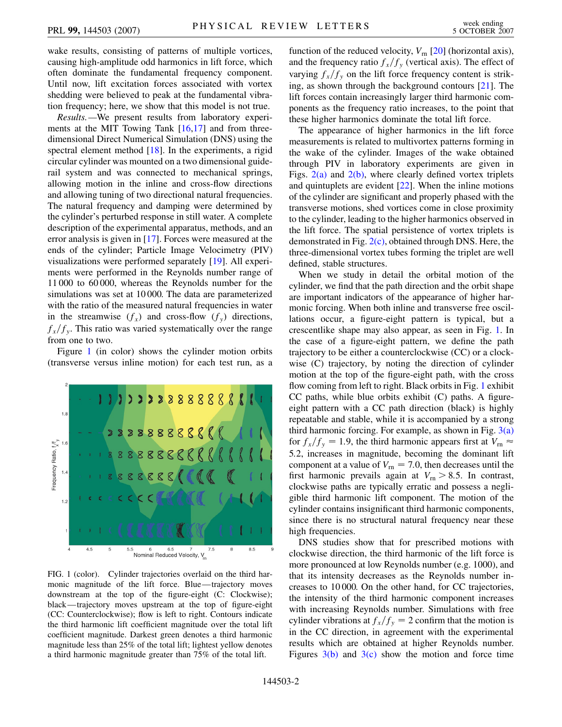wake results, consisting of patterns of multiple vortices, causing high-amplitude odd harmonics in lift force, which often dominate the fundamental frequency component. Until now, lift excitation forces associated with vortex shedding were believed to peak at the fundamental vibration frequency; here, we show that this model is not true.

*Results.—*We present results from laboratory experiments at the MIT Towing Tank  $[16,17]$  $[16,17]$  $[16,17]$  $[16,17]$  and from threedimensional Direct Numerical Simulation (DNS) using the spectral element method [\[18\]](#page-3-16). In the experiments, a rigid circular cylinder was mounted on a two dimensional guiderail system and was connected to mechanical springs, allowing motion in the inline and cross-flow directions and allowing tuning of two directional natural frequencies. The natural frequency and damping were determined by the cylinder's perturbed response in still water. A complete description of the experimental apparatus, methods, and an error analysis is given in [[17](#page-3-15)]. Forces were measured at the ends of the cylinder; Particle Image Velocimetry (PIV) visualizations were performed separately [[19](#page-3-17)]. All experiments were performed in the Reynolds number range of 11 000 to 60 000, whereas the Reynolds number for the simulations was set at 10 000. The data are parameterized with the ratio of the measured natural frequencies in water in the streamwise  $(f_x)$  and cross-flow  $(f_y)$  directions,  $f_x/f_y$ . This ratio was varied systematically over the range from one to two.

Figure [1](#page-1-0) (in color) shows the cylinder motion orbits (transverse versus inline motion) for each test run, as a

<span id="page-1-0"></span>

FIG. 1 (color). Cylinder trajectories overlaid on the third harmonic magnitude of the lift force. Blue—trajectory moves downstream at the top of the figure-eight (C: Clockwise); black—trajectory moves upstream at the top of figure-eight (CC: Counterclockwise); flow is left to right. Contours indicate the third harmonic lift coefficient magnitude over the total lift coefficient magnitude. Darkest green denotes a third harmonic magnitude less than 25% of the total lift; lightest yellow denotes a third harmonic magnitude greater than 75% of the total lift.

function of the reduced velocity,  $V_{\rm rn}$  [\[20\]](#page-3-18) (horizontal axis), and the frequency ratio  $f_x/f_y$  (vertical axis). The effect of varying  $f_x/f_y$  on the lift force frequency content is striking, as shown through the background contours [[21](#page-3-19)]. The lift forces contain increasingly larger third harmonic components as the frequency ratio increases, to the point that these higher harmonics dominate the total lift force.

The appearance of higher harmonics in the lift force measurements is related to multivortex patterns forming in the wake of the cylinder. Images of the wake obtained through PIV in laboratory experiments are given in Figs.  $2(a)$  and  $2(b)$ , where clearly defined vortex triplets and quintuplets are evident [[22](#page-3-20)]. When the inline motions of the cylinder are significant and properly phased with the transverse motions, shed vortices come in close proximity to the cylinder, leading to the higher harmonics observed in the lift force. The spatial persistence of vortex triplets is demonstrated in Fig. [2\(c\)](#page-2-0), obtained through DNS. Here, the three-dimensional vortex tubes forming the triplet are well defined, stable structures.

When we study in detail the orbital motion of the cylinder, we find that the path direction and the orbit shape are important indicators of the appearance of higher harmonic forcing. When both inline and transverse free oscillations occur, a figure-eight pattern is typical, but a crescentlike shape may also appear, as seen in Fig. [1.](#page-1-0) In the case of a figure-eight pattern, we define the path trajectory to be either a counterclockwise (CC) or a clockwise (C) trajectory, by noting the direction of cylinder motion at the top of the figure-eight path, with the cross flow coming from left to right. Black orbits in Fig. [1](#page-1-0) exhibit  $CC$  paths, while blue orbits exhibit  $(C)$  paths. A figureeight pattern with a CC path direction (black) is highly repeatable and stable, while it is accompanied by a strong third harmonic forcing. For example, as shown in Fig.  $3(a)$ for  $f_x/f_y = 1.9$ , the third harmonic appears first at  $V_{\text{rn}} \approx$ 5*:*2, increases in magnitude, becoming the dominant lift component at a value of  $V_{\text{rn}} = 7.0$ , then decreases until the first harmonic prevails again at  $V_m > 8.5$ . In contrast, clockwise paths are typically erratic and possess a negligible third harmonic lift component. The motion of the cylinder contains insignificant third harmonic components, since there is no structural natural frequency near these high frequencies.

DNS studies show that for prescribed motions with clockwise direction, the third harmonic of the lift force is more pronounced at low Reynolds number (e.g. 1000), and that its intensity decreases as the Reynolds number increases to 10 000. On the other hand, for CC trajectories, the intensity of the third harmonic component increases with increasing Reynolds number. Simulations with free cylinder vibrations at  $f_x/f_y = 2$  confirm that the motion is in the CC direction, in agreement with the experimental results which are obtained at higher Reynolds number. Figures  $3(b)$  and  $3(c)$  show the motion and force time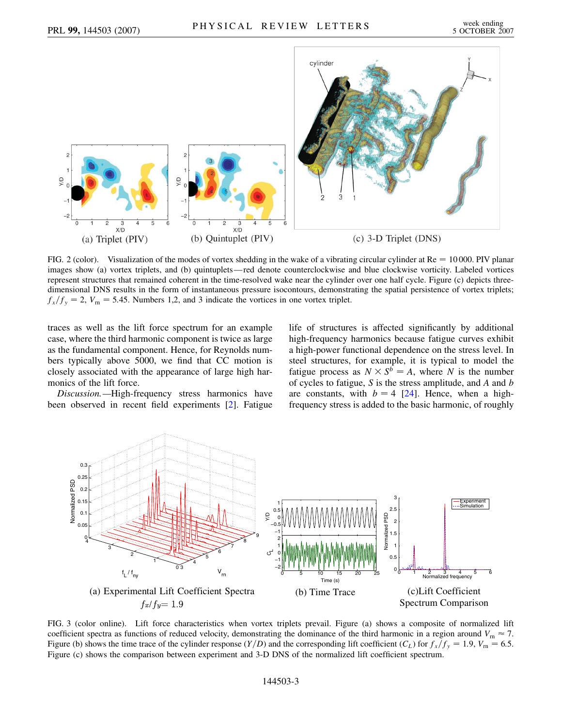

<span id="page-2-0"></span>FIG. 2 (color). Visualization of the modes of vortex shedding in the wake of a vibrating circular cylinder at  $Re = 10000$ . PIV planar images show (a) vortex triplets, and (b) quintuplets—red denote counterclockwise and blue clockwise vorticity. Labeled vortices represent structures that remained coherent in the time-resolved wake near the cylinder over one half cycle. Figure (c) depicts threedimensional DNS results in the form of instantaneous pressure isocontours, demonstrating the spatial persistence of vortex triplets;  $f_x/f_y = 2$ ,  $V_m = 5.45$ . Numbers 1,2, and 3 indicate the vortices in one vortex triplet.

traces as well as the lift force spectrum for an example case, where the third harmonic component is twice as large as the fundamental component. Hence, for Reynolds numbers typically above 5000, we find that CC motion is closely associated with the appearance of large high harmonics of the lift force.

*Discussion.—*High-frequency stress harmonics have been observed in recent field experiments [[2](#page-3-2)]. Fatigue life of structures is affected significantly by additional high-frequency harmonics because fatigue curves exhibit a high-power functional dependence on the stress level. In steel structures, for example, it is typical to model the fatigue process as  $N \times S^b = A$ , where *N* is the number of cycles to fatigue, *S* is the stress amplitude, and *A* and *b* are constants, with  $b = 4$  [[24](#page-3-21)]. Hence, when a highfrequency stress is added to the basic harmonic, of roughly



<span id="page-2-1"></span>FIG. 3 (color online). Lift force characteristics when vortex triplets prevail. Figure (a) shows a composite of normalized lift coefficient spectra as functions of reduced velocity, demonstrating the dominance of the third harmonic in a region around  $V_m \approx 7$ . Figure (b) shows the time trace of the cylinder response  $(Y/D)$  and the corresponding lift coefficient  $(C_L)$  for  $f_x/f_y = 1.9$ ,  $V_m = 6.5$ . Figure (c) shows the comparison between experiment and 3-D DNS of the normalized lift coefficient spectrum.